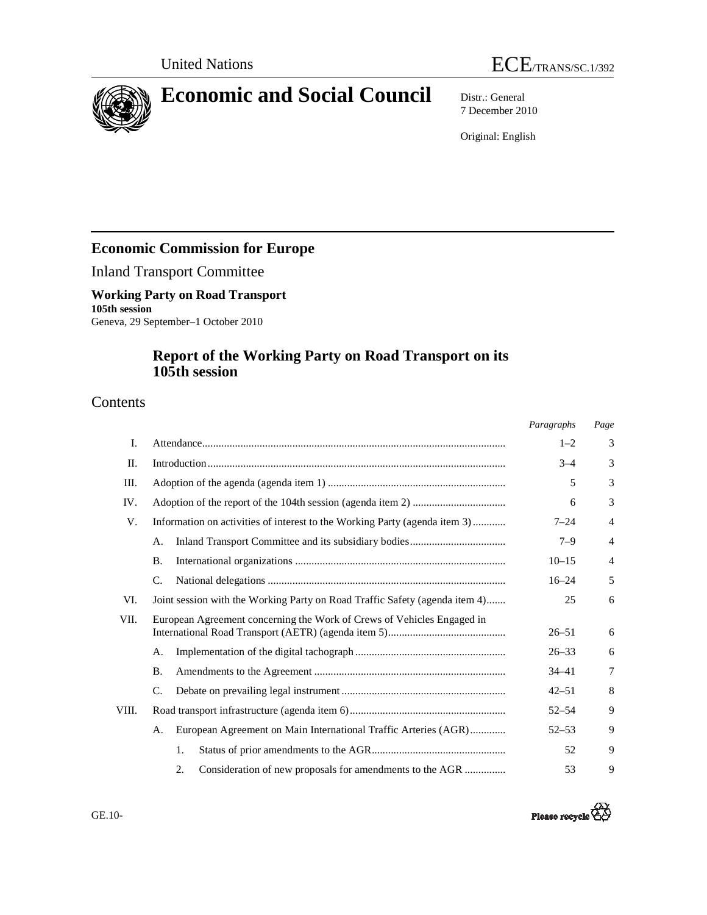



7 December 2010

Original: English

# **Economic Commission for Europe**

Inland Transport Committee

# **Working Party on Road Transport 105th session**

Geneva, 29 September–1 October 2010

# **Report of the Working Party on Road Transport on its 105th session**

# Contents

|       |                                                                             | Paragraphs | Page           |  |  |
|-------|-----------------------------------------------------------------------------|------------|----------------|--|--|
| I.    |                                                                             | $1 - 2$    | 3              |  |  |
| П.    |                                                                             | $3 - 4$    | 3              |  |  |
| Ш.    |                                                                             | 5          | 3              |  |  |
| IV.   | 6                                                                           |            |                |  |  |
| V.    | Information on activities of interest to the Working Party (agenda item 3)  | $7 - 24$   | $\overline{4}$ |  |  |
|       | А.                                                                          | $7 - 9$    | $\overline{4}$ |  |  |
|       | <b>B.</b>                                                                   | $10 - 15$  | $\overline{4}$ |  |  |
|       | C.                                                                          | $16 - 24$  | 5              |  |  |
| VI.   | Joint session with the Working Party on Road Traffic Safety (agenda item 4) | 25         | 6              |  |  |
| VII.  | European Agreement concerning the Work of Crews of Vehicles Engaged in      | $26 - 51$  | 6              |  |  |
|       | А.                                                                          | $26 - 33$  | 6              |  |  |
|       | <b>B.</b>                                                                   | $34 - 41$  | 7              |  |  |
|       | C.                                                                          | $42 - 51$  | 8              |  |  |
| VIII. |                                                                             | $52 - 54$  | 9              |  |  |
|       | European Agreement on Main International Traffic Arteries (AGR)<br>А.       | $52 - 53$  | 9              |  |  |
|       | 1.                                                                          | 52         | 9              |  |  |
|       | 2.<br>Consideration of new proposals for amendments to the AGR              | 53         | 9              |  |  |

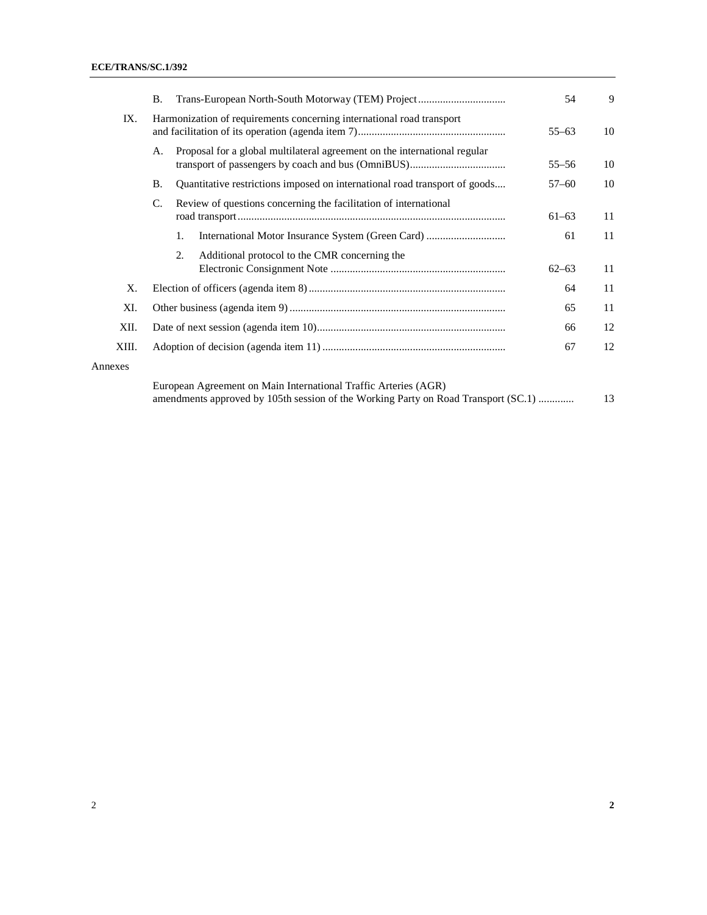|         | <b>B.</b>                                                                                                                                             | Trans-European North-South Motorway (TEM) Project                          | 54        | 9  |  |
|---------|-------------------------------------------------------------------------------------------------------------------------------------------------------|----------------------------------------------------------------------------|-----------|----|--|
| IX.     |                                                                                                                                                       | Harmonization of requirements concerning international road transport      | $55 - 63$ | 10 |  |
|         | Α.                                                                                                                                                    | Proposal for a global multilateral agreement on the international regular  | $55 - 56$ | 10 |  |
|         | <b>B.</b>                                                                                                                                             | Quantitative restrictions imposed on international road transport of goods | $57 - 60$ | 10 |  |
|         | C.                                                                                                                                                    | Review of questions concerning the facilitation of international           | $61 - 63$ | 11 |  |
|         |                                                                                                                                                       | 1.                                                                         | 61        | 11 |  |
|         |                                                                                                                                                       | Additional protocol to the CMR concerning the<br>2.                        | $62 - 63$ | 11 |  |
| Χ.      |                                                                                                                                                       |                                                                            |           | 11 |  |
| XI.     | 65                                                                                                                                                    |                                                                            |           |    |  |
| XII.    | 66                                                                                                                                                    |                                                                            |           |    |  |
| XIII.   | 67                                                                                                                                                    |                                                                            |           | 12 |  |
| Annexes |                                                                                                                                                       |                                                                            |           |    |  |
|         | European Agreement on Main International Traffic Arteries (AGR)<br>amendments approved by 105th session of the Working Party on Road Transport (SC.1) |                                                                            |           |    |  |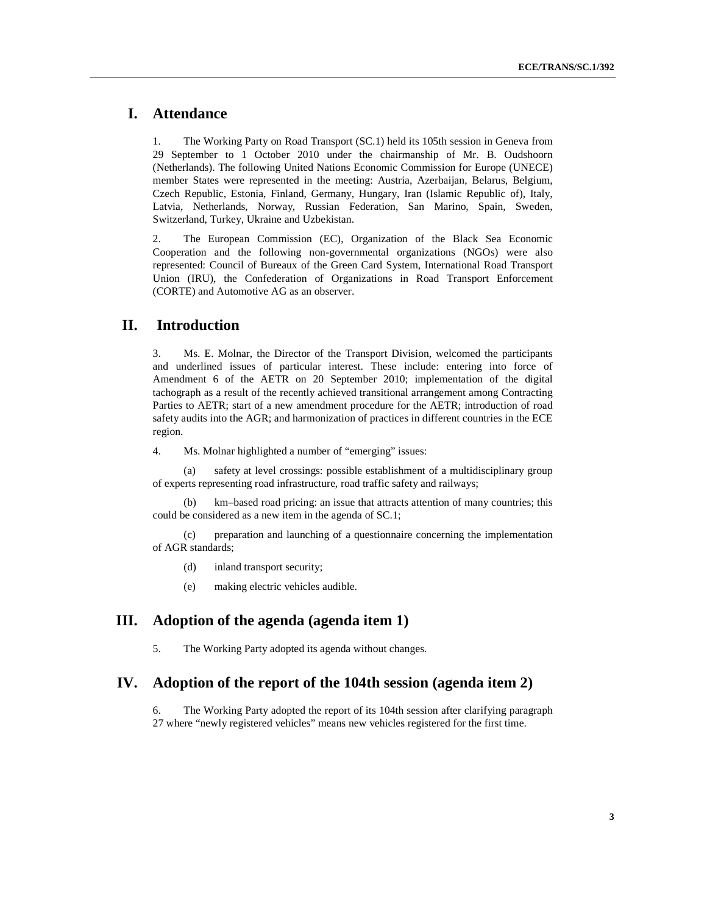# **I. Attendance**

1. The Working Party on Road Transport (SC.1) held its 105th session in Geneva from 29 September to 1 October 2010 under the chairmanship of Mr. B. Oudshoorn (Netherlands). The following United Nations Economic Commission for Europe (UNECE) member States were represented in the meeting: Austria, Azerbaijan, Belarus, Belgium, Czech Republic, Estonia, Finland, Germany, Hungary, Iran (Islamic Republic of), Italy, Latvia, Netherlands, Norway, Russian Federation, San Marino, Spain, Sweden, Switzerland, Turkey, Ukraine and Uzbekistan.

2. The European Commission (EC), Organization of the Black Sea Economic Cooperation and the following non-governmental organizations (NGOs) were also represented: Council of Bureaux of the Green Card System, International Road Transport Union (IRU), the Confederation of Organizations in Road Transport Enforcement (CORTE) and Automotive AG as an observer.

## **II. Introduction**

3. Ms. E. Molnar, the Director of the Transport Division, welcomed the participants and underlined issues of particular interest. These include: entering into force of Amendment 6 of the AETR on 20 September 2010; implementation of the digital tachograph as a result of the recently achieved transitional arrangement among Contracting Parties to AETR; start of a new amendment procedure for the AETR; introduction of road safety audits into the AGR; and harmonization of practices in different countries in the ECE region.

4. Ms. Molnar highlighted a number of "emerging" issues:

(a) safety at level crossings: possible establishment of a multidisciplinary group of experts representing road infrastructure, road traffic safety and railways;

(b) km–based road pricing: an issue that attracts attention of many countries; this could be considered as a new item in the agenda of SC.1;

(c) preparation and launching of a questionnaire concerning the implementation of AGR standards;

(d) inland transport security;

(e) making electric vehicles audible.

### **III. Adoption of the agenda (agenda item 1)**

5. The Working Party adopted its agenda without changes.

### **IV. Adoption of the report of the 104th session (agenda item 2)**

6. The Working Party adopted the report of its 104th session after clarifying paragraph 27 where "newly registered vehicles" means new vehicles registered for the first time.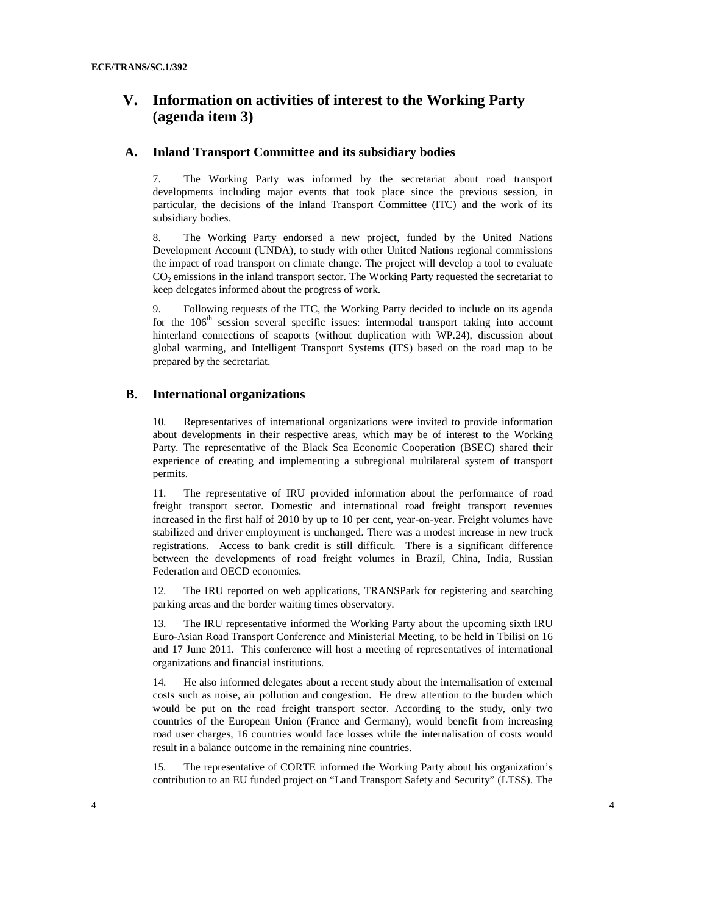## **V. Information on activities of interest to the Working Party (agenda item 3)**

#### **A. Inland Transport Committee and its subsidiary bodies**

7. The Working Party was informed by the secretariat about road transport developments including major events that took place since the previous session, in particular, the decisions of the Inland Transport Committee (ITC) and the work of its subsidiary bodies.

8. The Working Party endorsed a new project, funded by the United Nations Development Account (UNDA), to study with other United Nations regional commissions the impact of road transport on climate change. The project will develop a tool to evaluate CO<sub>2</sub> emissions in the inland transport sector. The Working Party requested the secretariat to keep delegates informed about the progress of work.

9. Following requests of the ITC, the Working Party decided to include on its agenda for the  $106<sup>th</sup>$  session several specific issues: intermodal transport taking into account hinterland connections of seaports (without duplication with WP.24), discussion about global warming, and Intelligent Transport Systems (ITS) based on the road map to be prepared by the secretariat.

#### **B. International organizations**

10. Representatives of international organizations were invited to provide information about developments in their respective areas, which may be of interest to the Working Party. The representative of the Black Sea Economic Cooperation (BSEC) shared their experience of creating and implementing a subregional multilateral system of transport permits.

11. The representative of IRU provided information about the performance of road freight transport sector. Domestic and international road freight transport revenues increased in the first half of 2010 by up to 10 per cent, year-on-year. Freight volumes have stabilized and driver employment is unchanged. There was a modest increase in new truck registrations. Access to bank credit is still difficult. There is a significant difference between the developments of road freight volumes in Brazil, China, India, Russian Federation and OECD economies.

12. The IRU reported on web applications, TRANSPark for registering and searching parking areas and the border waiting times observatory.

13. The IRU representative informed the Working Party about the upcoming sixth IRU Euro-Asian Road Transport Conference and Ministerial Meeting, to be held in Tbilisi on 16 and 17 June 2011. This conference will host a meeting of representatives of international organizations and financial institutions.

14. He also informed delegates about a recent study about the internalisation of external costs such as noise, air pollution and congestion. He drew attention to the burden which would be put on the road freight transport sector. According to the study, only two countries of the European Union (France and Germany), would benefit from increasing road user charges, 16 countries would face losses while the internalisation of costs would result in a balance outcome in the remaining nine countries.

15. The representative of CORTE informed the Working Party about his organization's contribution to an EU funded project on "Land Transport Safety and Security" (LTSS). The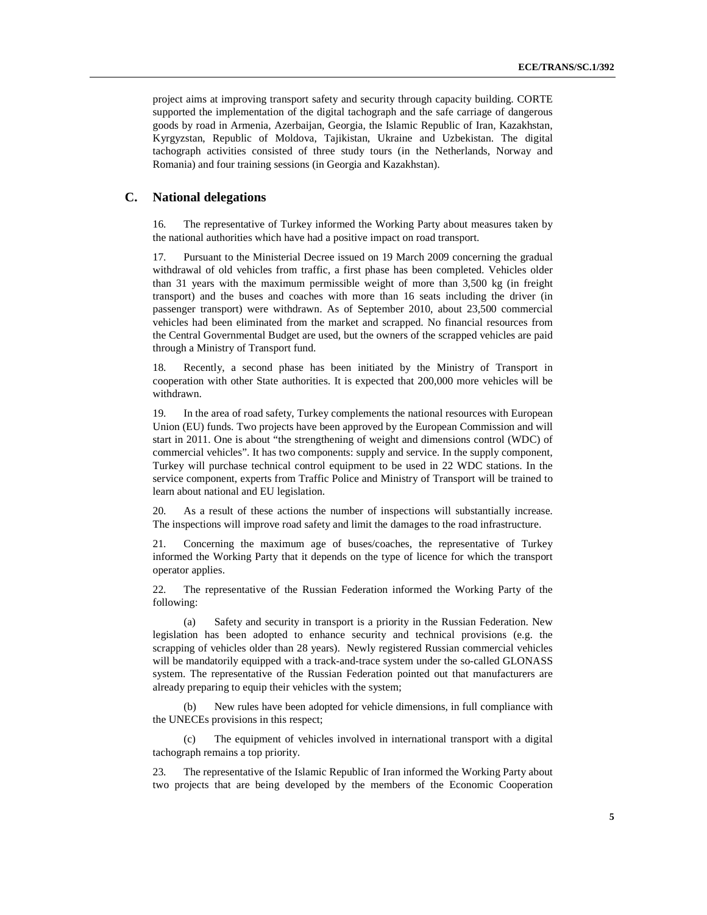project aims at improving transport safety and security through capacity building. CORTE supported the implementation of the digital tachograph and the safe carriage of dangerous goods by road in Armenia, Azerbaijan, Georgia, the Islamic Republic of Iran, Kazakhstan, Kyrgyzstan, Republic of Moldova, Tajikistan, Ukraine and Uzbekistan. The digital tachograph activities consisted of three study tours (in the Netherlands, Norway and Romania) and four training sessions (in Georgia and Kazakhstan).

#### **C. National delegations**

16. The representative of Turkey informed the Working Party about measures taken by the national authorities which have had a positive impact on road transport.

17. Pursuant to the Ministerial Decree issued on 19 March 2009 concerning the gradual withdrawal of old vehicles from traffic, a first phase has been completed. Vehicles older than 31 years with the maximum permissible weight of more than 3,500 kg (in freight transport) and the buses and coaches with more than 16 seats including the driver (in passenger transport) were withdrawn. As of September 2010, about 23,500 commercial vehicles had been eliminated from the market and scrapped. No financial resources from the Central Governmental Budget are used, but the owners of the scrapped vehicles are paid through a Ministry of Transport fund.

18. Recently, a second phase has been initiated by the Ministry of Transport in cooperation with other State authorities. It is expected that 200,000 more vehicles will be withdrawn.

19. In the area of road safety, Turkey complements the national resources with European Union (EU) funds. Two projects have been approved by the European Commission and will start in 2011. One is about "the strengthening of weight and dimensions control (WDC) of commercial vehicles". It has two components: supply and service. In the supply component, Turkey will purchase technical control equipment to be used in 22 WDC stations. In the service component, experts from Traffic Police and Ministry of Transport will be trained to learn about national and EU legislation.

20. As a result of these actions the number of inspections will substantially increase. The inspections will improve road safety and limit the damages to the road infrastructure.

21. Concerning the maximum age of buses/coaches, the representative of Turkey informed the Working Party that it depends on the type of licence for which the transport operator applies.

22. The representative of the Russian Federation informed the Working Party of the following:

(a) Safety and security in transport is a priority in the Russian Federation. New legislation has been adopted to enhance security and technical provisions (e.g. the scrapping of vehicles older than 28 years). Newly registered Russian commercial vehicles will be mandatorily equipped with a track-and-trace system under the so-called GLONASS system. The representative of the Russian Federation pointed out that manufacturers are already preparing to equip their vehicles with the system;

New rules have been adopted for vehicle dimensions, in full compliance with the UNECEs provisions in this respect;

(c) The equipment of vehicles involved in international transport with a digital tachograph remains a top priority.

23. The representative of the Islamic Republic of Iran informed the Working Party about two projects that are being developed by the members of the Economic Cooperation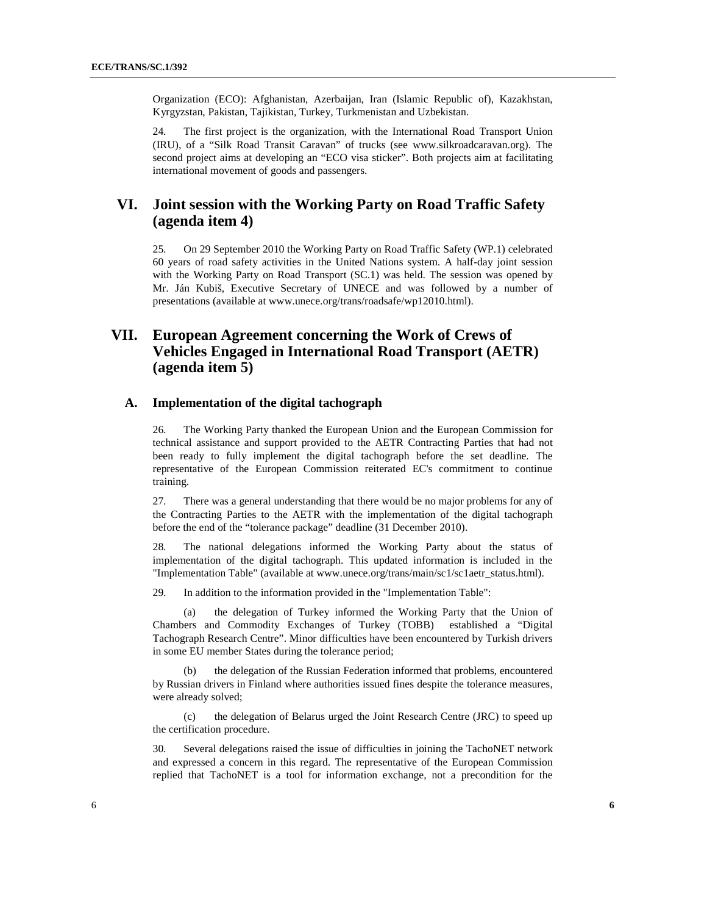Organization (ECO): Afghanistan, Azerbaijan, Iran (Islamic Republic of), Kazakhstan, Kyrgyzstan, Pakistan, Tajikistan, Turkey, Turkmenistan and Uzbekistan.

24. The first project is the organization, with the International Road Transport Union (IRU), of a "Silk Road Transit Caravan" of trucks (see www.silkroadcaravan.org). The second project aims at developing an "ECO visa sticker". Both projects aim at facilitating international movement of goods and passengers.

# **VI. Joint session with the Working Party on Road Traffic Safety (agenda item 4)**

25. On 29 September 2010 the Working Party on Road Traffic Safety (WP.1) celebrated 60 years of road safety activities in the United Nations system. A half-day joint session with the Working Party on Road Transport (SC.1) was held. The session was opened by Mr. Ján Kubiš, Executive Secretary of UNECE and was followed by a number of presentations (available at www.unece.org/trans/roadsafe/wp12010.html).

# **VII. European Agreement concerning the Work of Crews of Vehicles Engaged in International Road Transport (AETR) (agenda item 5)**

#### **A. Implementation of the digital tachograph**

26. The Working Party thanked the European Union and the European Commission for technical assistance and support provided to the AETR Contracting Parties that had not been ready to fully implement the digital tachograph before the set deadline. The representative of the European Commission reiterated EC's commitment to continue training.

27. There was a general understanding that there would be no major problems for any of the Contracting Parties to the AETR with the implementation of the digital tachograph before the end of the "tolerance package" deadline (31 December 2010).

28. The national delegations informed the Working Party about the status of implementation of the digital tachograph. This updated information is included in the "Implementation Table" (available at www.unece.org/trans/main/sc1/sc1aetr\_status.html).

29. In addition to the information provided in the "Implementation Table":

(a) the delegation of Turkey informed the Working Party that the Union of Chambers and Commodity Exchanges of Turkey (TOBB) established a "Digital Tachograph Research Centre". Minor difficulties have been encountered by Turkish drivers in some EU member States during the tolerance period;

the delegation of the Russian Federation informed that problems, encountered by Russian drivers in Finland where authorities issued fines despite the tolerance measures, were already solved;

(c) the delegation of Belarus urged the Joint Research Centre (JRC) to speed up the certification procedure.

30. Several delegations raised the issue of difficulties in joining the TachoNET network and expressed a concern in this regard. The representative of the European Commission replied that TachoNET is a tool for information exchange, not a precondition for the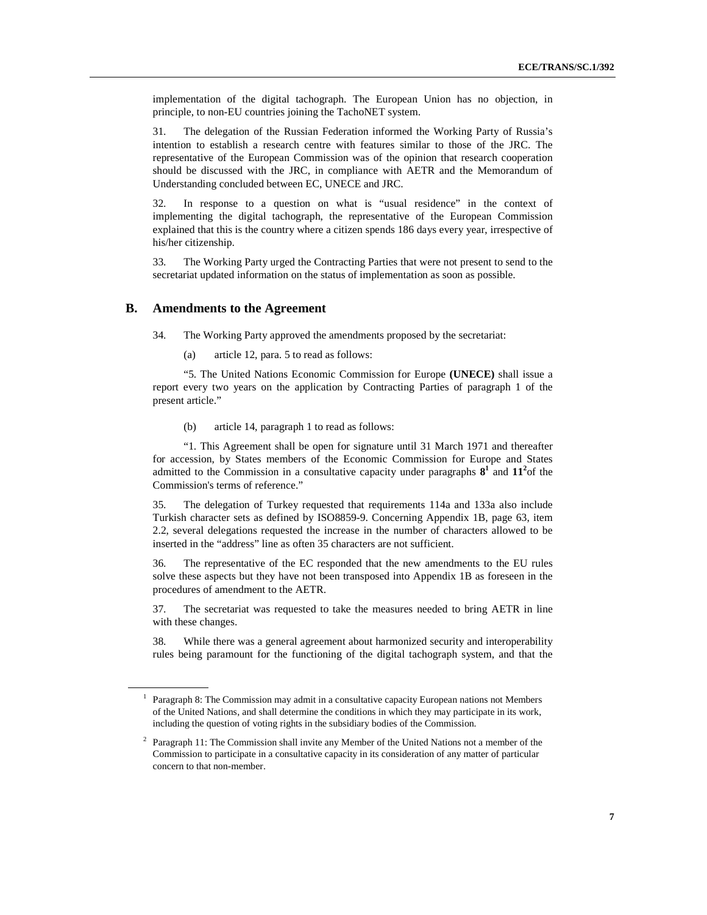implementation of the digital tachograph. The European Union has no objection, in principle, to non-EU countries joining the TachoNET system.

31. The delegation of the Russian Federation informed the Working Party of Russia's intention to establish a research centre with features similar to those of the JRC. The representative of the European Commission was of the opinion that research cooperation should be discussed with the JRC, in compliance with AETR and the Memorandum of Understanding concluded between EC, UNECE and JRC.

32. In response to a question on what is "usual residence" in the context of implementing the digital tachograph, the representative of the European Commission explained that this is the country where a citizen spends 186 days every year, irrespective of his/her citizenship.

33. The Working Party urged the Contracting Parties that were not present to send to the secretariat updated information on the status of implementation as soon as possible.

#### **B. Amendments to the Agreement**

34. The Working Party approved the amendments proposed by the secretariat:

(a) article 12, para. 5 to read as follows:

 "5. The United Nations Economic Commission for Europe **(UNECE)** shall issue a report every two years on the application by Contracting Parties of paragraph 1 of the present article."

(b) article 14, paragraph 1 to read as follows:

 "1. This Agreement shall be open for signature until 31 March 1971 and thereafter for accession, by States members of the Economic Commission for Europe and States admitted to the Commission in a consultative capacity under paragraphs  $8^1$  and  $11^2$  of the Commission's terms of reference."

35. The delegation of Turkey requested that requirements 114a and 133a also include Turkish character sets as defined by ISO8859-9. Concerning Appendix 1B, page 63, item 2.2, several delegations requested the increase in the number of characters allowed to be inserted in the "address" line as often 35 characters are not sufficient.

36. The representative of the EC responded that the new amendments to the EU rules solve these aspects but they have not been transposed into Appendix 1B as foreseen in the procedures of amendment to the AETR.

37. The secretariat was requested to take the measures needed to bring AETR in line with these changes.

38. While there was a general agreement about harmonized security and interoperability rules being paramount for the functioning of the digital tachograph system, and that the

<sup>&</sup>lt;sup>1</sup> Paragraph 8: The Commission may admit in a consultative capacity European nations not Members of the United Nations, and shall determine the conditions in which they may participate in its work, including the question of voting rights in the subsidiary bodies of the Commission.

<sup>2</sup> Paragraph 11: The Commission shall invite any Member of the United Nations not a member of the Commission to participate in a consultative capacity in its consideration of any matter of particular concern to that non-member.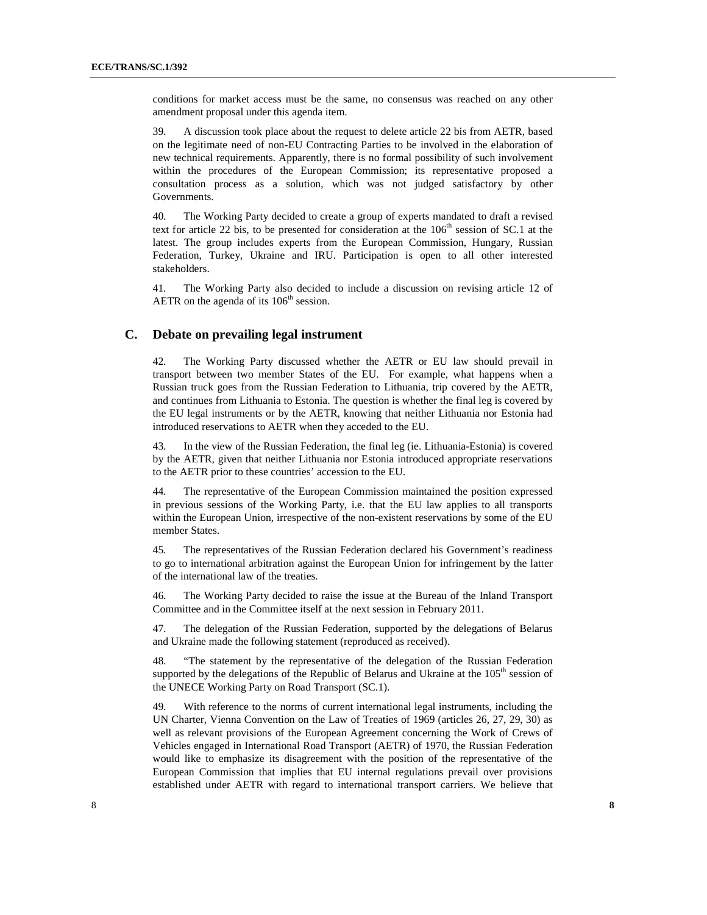conditions for market access must be the same, no consensus was reached on any other amendment proposal under this agenda item.

39. A discussion took place about the request to delete article 22 bis from AETR, based on the legitimate need of non-EU Contracting Parties to be involved in the elaboration of new technical requirements. Apparently, there is no formal possibility of such involvement within the procedures of the European Commission; its representative proposed a consultation process as a solution, which was not judged satisfactory by other Governments.

40. The Working Party decided to create a group of experts mandated to draft a revised text for article 22 bis, to be presented for consideration at the  $106<sup>th</sup>$  session of SC.1 at the latest. The group includes experts from the European Commission, Hungary, Russian Federation, Turkey, Ukraine and IRU. Participation is open to all other interested stakeholders.

41. The Working Party also decided to include a discussion on revising article 12 of AETR on the agenda of its  $106<sup>th</sup>$  session.

#### **C. Debate on prevailing legal instrument**

42. The Working Party discussed whether the AETR or EU law should prevail in transport between two member States of the EU. For example, what happens when a Russian truck goes from the Russian Federation to Lithuania, trip covered by the AETR, and continues from Lithuania to Estonia. The question is whether the final leg is covered by the EU legal instruments or by the AETR, knowing that neither Lithuania nor Estonia had introduced reservations to AETR when they acceded to the EU.

43. In the view of the Russian Federation, the final leg (ie. Lithuania-Estonia) is covered by the AETR, given that neither Lithuania nor Estonia introduced appropriate reservations to the AETR prior to these countries' accession to the EU.

44. The representative of the European Commission maintained the position expressed in previous sessions of the Working Party, i.e. that the EU law applies to all transports within the European Union, irrespective of the non-existent reservations by some of the EU member States.

45. The representatives of the Russian Federation declared his Government's readiness to go to international arbitration against the European Union for infringement by the latter of the international law of the treaties.

46. The Working Party decided to raise the issue at the Bureau of the Inland Transport Committee and in the Committee itself at the next session in February 2011.

47. The delegation of the Russian Federation, supported by the delegations of Belarus and Ukraine made the following statement (reproduced as received).

48. "The statement by the representative of the delegation of the Russian Federation supported by the delegations of the Republic of Belarus and Ukraine at the  $105<sup>th</sup>$  session of the UNECE Working Party on Road Transport (SC.1).

49. With reference to the norms of current international legal instruments, including the UN Charter, Vienna Convention on the Law of Treaties of 1969 (articles 26, 27, 29, 30) as well as relevant provisions of the European Agreement concerning the Work of Crews of Vehicles engaged in International Road Transport (AETR) of 1970, the Russian Federation would like to emphasize its disagreement with the position of the representative of the European Commission that implies that EU internal regulations prevail over provisions established under AETR with regard to international transport carriers. We believe that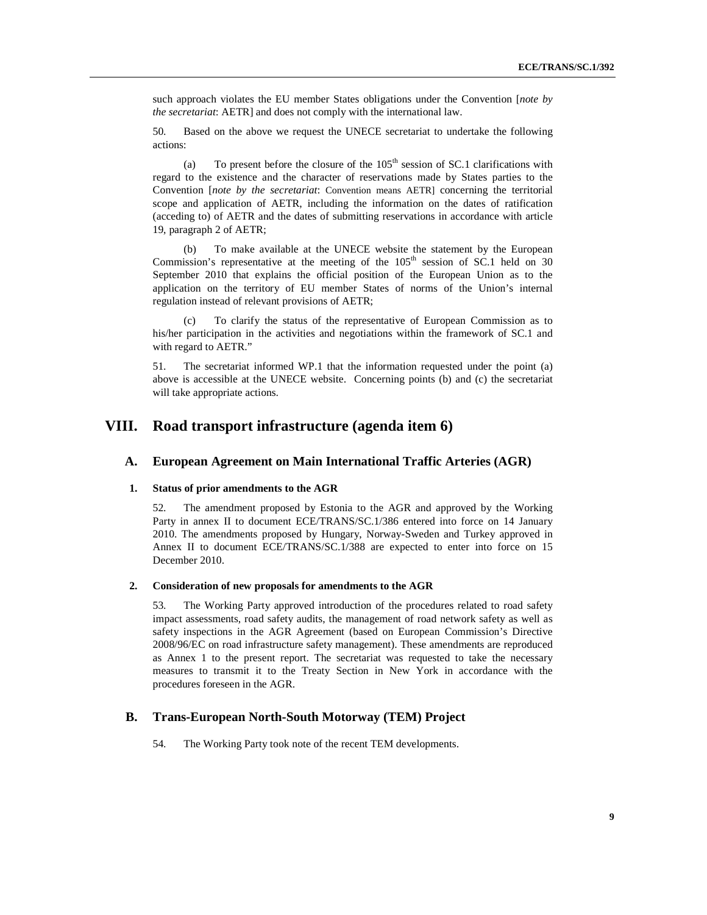such approach violates the EU member States obligations under the Convention [*note by the secretariat*: AETR] and does not comply with the international law.

50. Based on the above we request the UNECE secretariat to undertake the following actions:

(a) To present before the closure of the  $105<sup>th</sup>$  session of SC.1 clarifications with regard to the existence and the character of reservations made by States parties to the Convention [*note by the secretariat*: Convention means AETR] concerning the territorial scope and application of AETR, including the information on the dates of ratification (acceding to) of AETR and the dates of submitting reservations in accordance with article 19, paragraph 2 of AETR;

(b) To make available at the UNECE website the statement by the European Commission's representative at the meeting of the  $105<sup>th</sup>$  session of SC.1 held on 30 September 2010 that explains the official position of the European Union as to the application on the territory of EU member States of norms of the Union's internal regulation instead of relevant provisions of AETR;

(c) To clarify the status of the representative of European Commission as to his/her participation in the activities and negotiations within the framework of SC.1 and with regard to AETR."

51. The secretariat informed WP.1 that the information requested under the point (a) above is accessible at the UNECE website. Concerning points (b) and (c) the secretariat will take appropriate actions.

## **VIII. Road transport infrastructure (agenda item 6)**

#### **A. European Agreement on Main International Traffic Arteries (AGR)**

#### **1. Status of prior amendments to the AGR**

52. The amendment proposed by Estonia to the AGR and approved by the Working Party in annex II to document ECE/TRANS/SC.1/386 entered into force on 14 January 2010. The amendments proposed by Hungary, Norway-Sweden and Turkey approved in Annex II to document ECE/TRANS/SC.1/388 are expected to enter into force on 15 December 2010.

#### **2. Consideration of new proposals for amendments to the AGR**

53. The Working Party approved introduction of the procedures related to road safety impact assessments, road safety audits, the management of road network safety as well as safety inspections in the AGR Agreement (based on European Commission's Directive 2008/96/EC on road infrastructure safety management). These amendments are reproduced as Annex 1 to the present report. The secretariat was requested to take the necessary measures to transmit it to the Treaty Section in New York in accordance with the procedures foreseen in the AGR.

#### **B. Trans-European North-South Motorway (TEM) Project**

54. The Working Party took note of the recent TEM developments.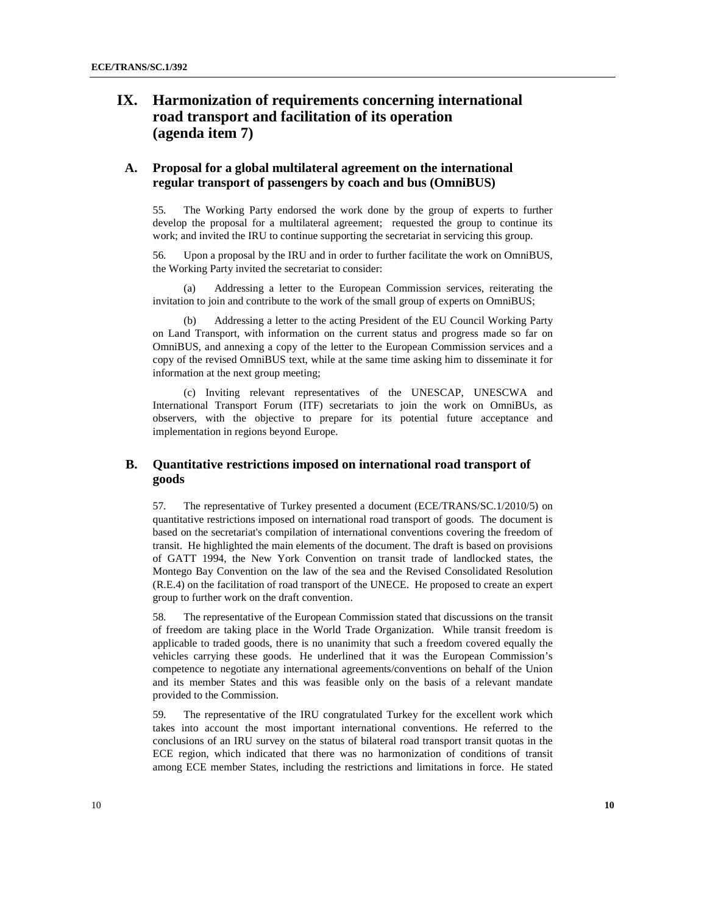# **IX. Harmonization of requirements concerning international road transport and facilitation of its operation (agenda item 7)**

### **A. Proposal for a global multilateral agreement on the international regular transport of passengers by coach and bus (OmniBUS)**

55. The Working Party endorsed the work done by the group of experts to further develop the proposal for a multilateral agreement; requested the group to continue its work; and invited the IRU to continue supporting the secretariat in servicing this group.

56. Upon a proposal by the IRU and in order to further facilitate the work on OmniBUS, the Working Party invited the secretariat to consider:

(a) Addressing a letter to the European Commission services, reiterating the invitation to join and contribute to the work of the small group of experts on OmniBUS;

(b) Addressing a letter to the acting President of the EU Council Working Party on Land Transport, with information on the current status and progress made so far on OmniBUS, and annexing a copy of the letter to the European Commission services and a copy of the revised OmniBUS text, while at the same time asking him to disseminate it for information at the next group meeting;

(c) Inviting relevant representatives of the UNESCAP, UNESCWA and International Transport Forum (ITF) secretariats to join the work on OmniBUs, as observers, with the objective to prepare for its potential future acceptance and implementation in regions beyond Europe.

### **B. Quantitative restrictions imposed on international road transport of goods**

57. The representative of Turkey presented a document (ECE/TRANS/SC.1/2010/5) on quantitative restrictions imposed on international road transport of goods. The document is based on the secretariat's compilation of international conventions covering the freedom of transit. He highlighted the main elements of the document. The draft is based on provisions of GATT 1994, the New York Convention on transit trade of landlocked states, the Montego Bay Convention on the law of the sea and the Revised Consolidated Resolution (R.E.4) on the facilitation of road transport of the UNECE. He proposed to create an expert group to further work on the draft convention.

58. The representative of the European Commission stated that discussions on the transit of freedom are taking place in the World Trade Organization. While transit freedom is applicable to traded goods, there is no unanimity that such a freedom covered equally the vehicles carrying these goods. He underlined that it was the European Commission's competence to negotiate any international agreements/conventions on behalf of the Union and its member States and this was feasible only on the basis of a relevant mandate provided to the Commission.

59. The representative of the IRU congratulated Turkey for the excellent work which takes into account the most important international conventions. He referred to the conclusions of an IRU survey on the status of bilateral road transport transit quotas in the ECE region, which indicated that there was no harmonization of conditions of transit among ECE member States, including the restrictions and limitations in force. He stated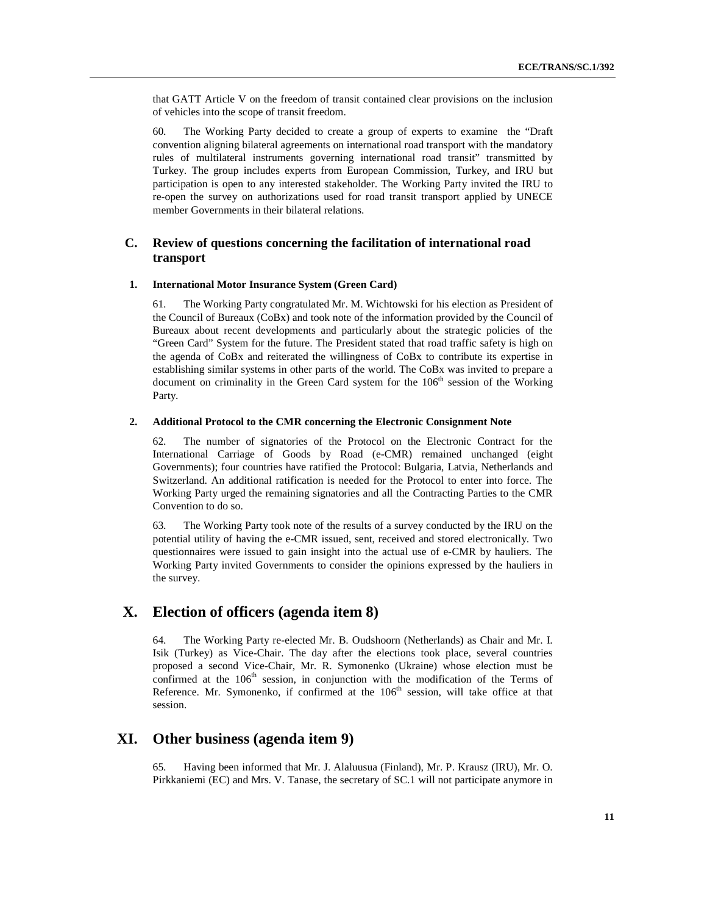that GATT Article V on the freedom of transit contained clear provisions on the inclusion of vehicles into the scope of transit freedom.

60. The Working Party decided to create a group of experts to examine the "Draft convention aligning bilateral agreements on international road transport with the mandatory rules of multilateral instruments governing international road transit" transmitted by Turkey. The group includes experts from European Commission, Turkey, and IRU but participation is open to any interested stakeholder. The Working Party invited the IRU to re-open the survey on authorizations used for road transit transport applied by UNECE member Governments in their bilateral relations.

### **C. Review of questions concerning the facilitation of international road transport**

#### **1. International Motor Insurance System (Green Card)**

61. The Working Party congratulated Mr. M. Wichtowski for his election as President of the Council of Bureaux (CoBx) and took note of the information provided by the Council of Bureaux about recent developments and particularly about the strategic policies of the "Green Card" System for the future. The President stated that road traffic safety is high on the agenda of CoBx and reiterated the willingness of CoBx to contribute its expertise in establishing similar systems in other parts of the world. The CoBx was invited to prepare a document on criminality in the Green Card system for the  $106<sup>th</sup>$  session of the Working Party.

#### **2. Additional Protocol to the CMR concerning the Electronic Consignment Note**

62. The number of signatories of the Protocol on the Electronic Contract for the International Carriage of Goods by Road (e-CMR) remained unchanged (eight Governments); four countries have ratified the Protocol: Bulgaria, Latvia, Netherlands and Switzerland. An additional ratification is needed for the Protocol to enter into force. The Working Party urged the remaining signatories and all the Contracting Parties to the CMR Convention to do so.

63. The Working Party took note of the results of a survey conducted by the IRU on the potential utility of having the e-CMR issued, sent, received and stored electronically. Two questionnaires were issued to gain insight into the actual use of e-CMR by hauliers. The Working Party invited Governments to consider the opinions expressed by the hauliers in the survey.

### **X. Election of officers (agenda item 8)**

64. The Working Party re-elected Mr. B. Oudshoorn (Netherlands) as Chair and Mr. I. Isik (Turkey) as Vice-Chair. The day after the elections took place, several countries proposed a second Vice-Chair, Mr. R. Symonenko (Ukraine) whose election must be confirmed at the  $106<sup>th</sup>$  session, in conjunction with the modification of the Terms of Reference. Mr. Symonenko, if confirmed at the  $106<sup>th</sup>$  session, will take office at that session.

# **XI. Other business (agenda item 9)**

65. Having been informed that Mr. J. Alaluusua (Finland), Mr. P. Krausz (IRU), Mr. O. Pirkkaniemi (EC) and Mrs. V. Tanase, the secretary of SC.1 will not participate anymore in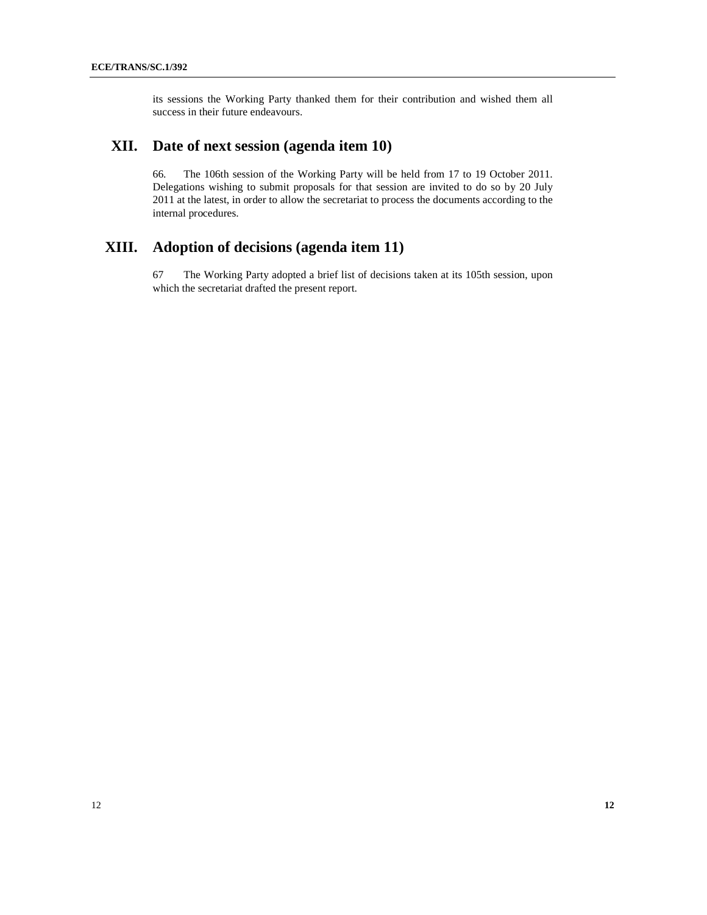its sessions the Working Party thanked them for their contribution and wished them all success in their future endeavours.

## **XII. Date of next session (agenda item 10)**

66. The 106th session of the Working Party will be held from 17 to 19 October 2011. Delegations wishing to submit proposals for that session are invited to do so by 20 July 2011 at the latest, in order to allow the secretariat to process the documents according to the internal procedures.

# **XIII. Adoption of decisions (agenda item 11)**

67 The Working Party adopted a brief list of decisions taken at its 105th session, upon which the secretariat drafted the present report.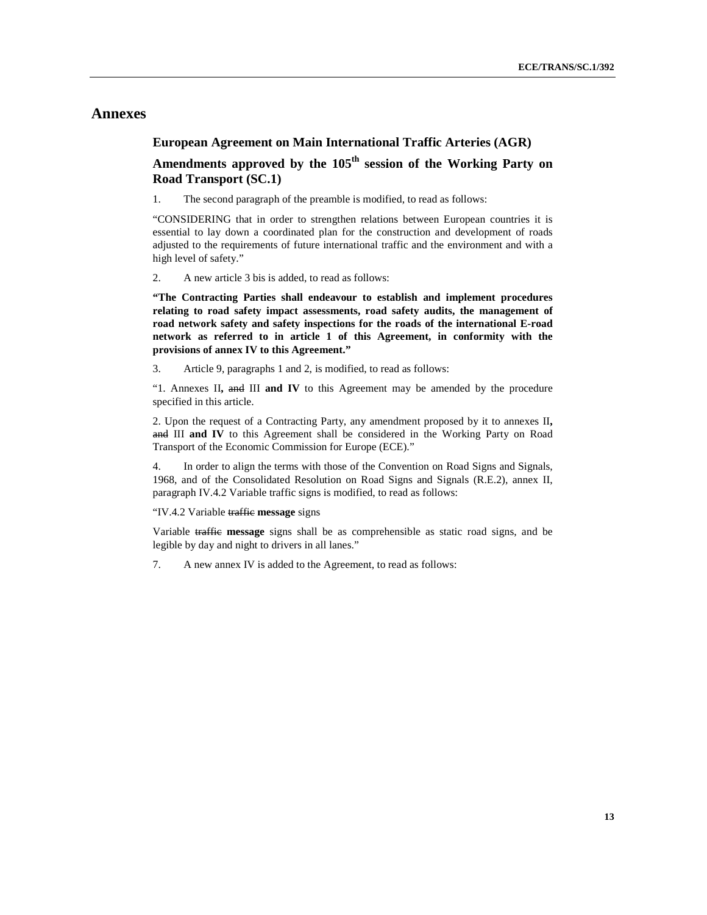## **Annexes**

### **European Agreement on Main International Traffic Arteries (AGR)**

## **Amendments approved by the 105th session of the Working Party on Road Transport (SC.1)**

1. The second paragraph of the preamble is modified, to read as follows:

"CONSIDERING that in order to strengthen relations between European countries it is essential to lay down a coordinated plan for the construction and development of roads adjusted to the requirements of future international traffic and the environment and with a high level of safety."

2. A new article 3 bis is added, to read as follows:

**"The Contracting Parties shall endeavour to establish and implement procedures relating to road safety impact assessments, road safety audits, the management of road network safety and safety inspections for the roads of the international E-road network as referred to in article 1 of this Agreement, in conformity with the provisions of annex IV to this Agreement."** 

3. Article 9, paragraphs 1 and 2, is modified, to read as follows:

"1. Annexes II**,** and III **and IV** to this Agreement may be amended by the procedure specified in this article.

2. Upon the request of a Contracting Party, any amendment proposed by it to annexes II**,**  and III **and IV** to this Agreement shall be considered in the Working Party on Road Transport of the Economic Commission for Europe (ECE)."

4. In order to align the terms with those of the Convention on Road Signs and Signals, 1968, and of the Consolidated Resolution on Road Signs and Signals (R.E.2), annex II, paragraph IV.4.2 Variable traffic signs is modified, to read as follows:

#### "IV.4.2 Variable traffic **message** signs

Variable traffic **message** signs shall be as comprehensible as static road signs, and be legible by day and night to drivers in all lanes."

7. A new annex IV is added to the Agreement, to read as follows: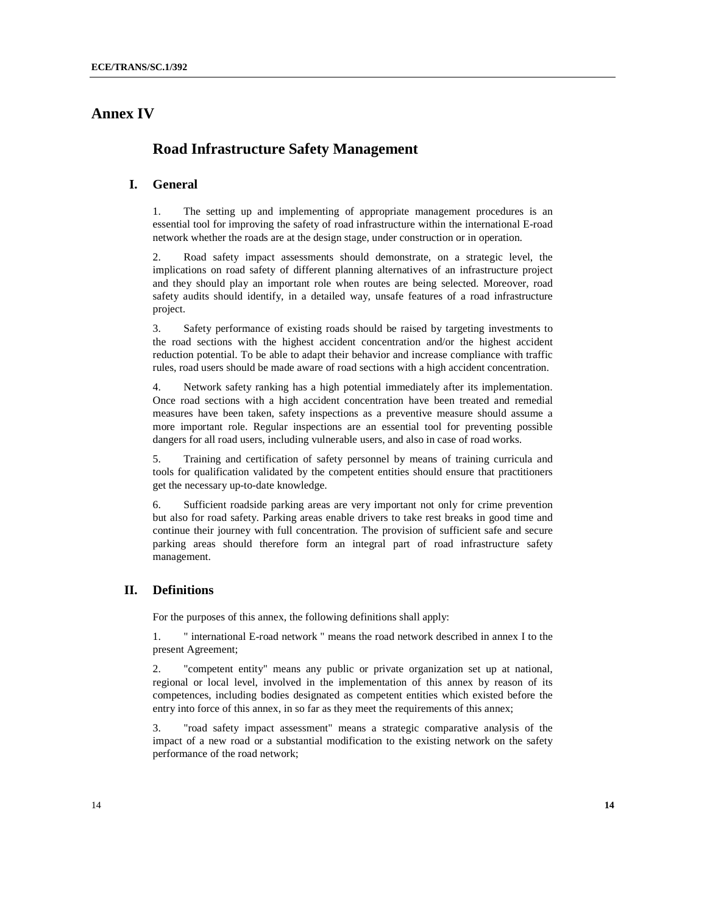# **Annex IV**

## **Road Infrastructure Safety Management**

### **I. General**

1. The setting up and implementing of appropriate management procedures is an essential tool for improving the safety of road infrastructure within the international E-road network whether the roads are at the design stage, under construction or in operation.

2. Road safety impact assessments should demonstrate, on a strategic level, the implications on road safety of different planning alternatives of an infrastructure project and they should play an important role when routes are being selected. Moreover, road safety audits should identify, in a detailed way, unsafe features of a road infrastructure project.

3. Safety performance of existing roads should be raised by targeting investments to the road sections with the highest accident concentration and/or the highest accident reduction potential. To be able to adapt their behavior and increase compliance with traffic rules, road users should be made aware of road sections with a high accident concentration.

4. Network safety ranking has a high potential immediately after its implementation. Once road sections with a high accident concentration have been treated and remedial measures have been taken, safety inspections as a preventive measure should assume a more important role. Regular inspections are an essential tool for preventing possible dangers for all road users, including vulnerable users, and also in case of road works.

5. Training and certification of safety personnel by means of training curricula and tools for qualification validated by the competent entities should ensure that practitioners get the necessary up-to-date knowledge.

6. Sufficient roadside parking areas are very important not only for crime prevention but also for road safety. Parking areas enable drivers to take rest breaks in good time and continue their journey with full concentration. The provision of sufficient safe and secure parking areas should therefore form an integral part of road infrastructure safety management.

### **II. Definitions**

For the purposes of this annex, the following definitions shall apply:

1. " international E-road network " means the road network described in annex I to the present Agreement;

2. "competent entity" means any public or private organization set up at national, regional or local level, involved in the implementation of this annex by reason of its competences, including bodies designated as competent entities which existed before the entry into force of this annex, in so far as they meet the requirements of this annex;

3. "road safety impact assessment" means a strategic comparative analysis of the impact of a new road or a substantial modification to the existing network on the safety performance of the road network;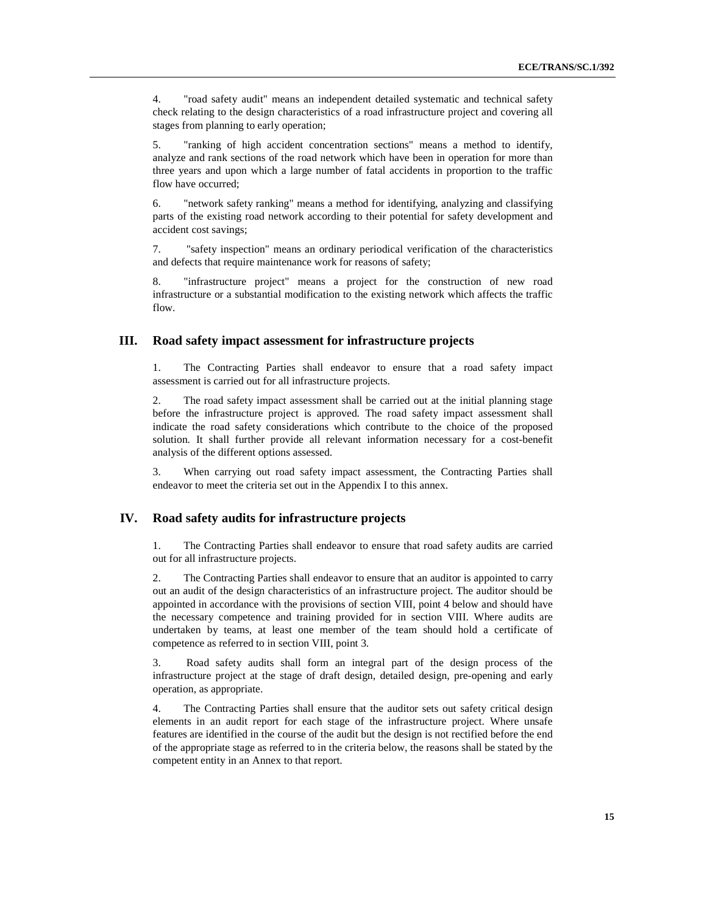4. "road safety audit" means an independent detailed systematic and technical safety check relating to the design characteristics of a road infrastructure project and covering all stages from planning to early operation;

5. "ranking of high accident concentration sections" means a method to identify, analyze and rank sections of the road network which have been in operation for more than three years and upon which a large number of fatal accidents in proportion to the traffic flow have occurred;

6. "network safety ranking" means a method for identifying, analyzing and classifying parts of the existing road network according to their potential for safety development and accident cost savings;

7. "safety inspection" means an ordinary periodical verification of the characteristics and defects that require maintenance work for reasons of safety;

8. "infrastructure project" means a project for the construction of new road infrastructure or a substantial modification to the existing network which affects the traffic flow.

#### **III. Road safety impact assessment for infrastructure projects**

1. The Contracting Parties shall endeavor to ensure that a road safety impact assessment is carried out for all infrastructure projects.

2. The road safety impact assessment shall be carried out at the initial planning stage before the infrastructure project is approved. The road safety impact assessment shall indicate the road safety considerations which contribute to the choice of the proposed solution. It shall further provide all relevant information necessary for a cost-benefit analysis of the different options assessed.

3. When carrying out road safety impact assessment, the Contracting Parties shall endeavor to meet the criteria set out in the Appendix I to this annex.

#### **IV. Road safety audits for infrastructure projects**

1. The Contracting Parties shall endeavor to ensure that road safety audits are carried out for all infrastructure projects.

2. The Contracting Parties shall endeavor to ensure that an auditor is appointed to carry out an audit of the design characteristics of an infrastructure project. The auditor should be appointed in accordance with the provisions of section VIII, point 4 below and should have the necessary competence and training provided for in section VIII. Where audits are undertaken by teams, at least one member of the team should hold a certificate of competence as referred to in section VIII, point 3.

3. Road safety audits shall form an integral part of the design process of the infrastructure project at the stage of draft design, detailed design, pre-opening and early operation, as appropriate.

4. The Contracting Parties shall ensure that the auditor sets out safety critical design elements in an audit report for each stage of the infrastructure project. Where unsafe features are identified in the course of the audit but the design is not rectified before the end of the appropriate stage as referred to in the criteria below, the reasons shall be stated by the competent entity in an Annex to that report.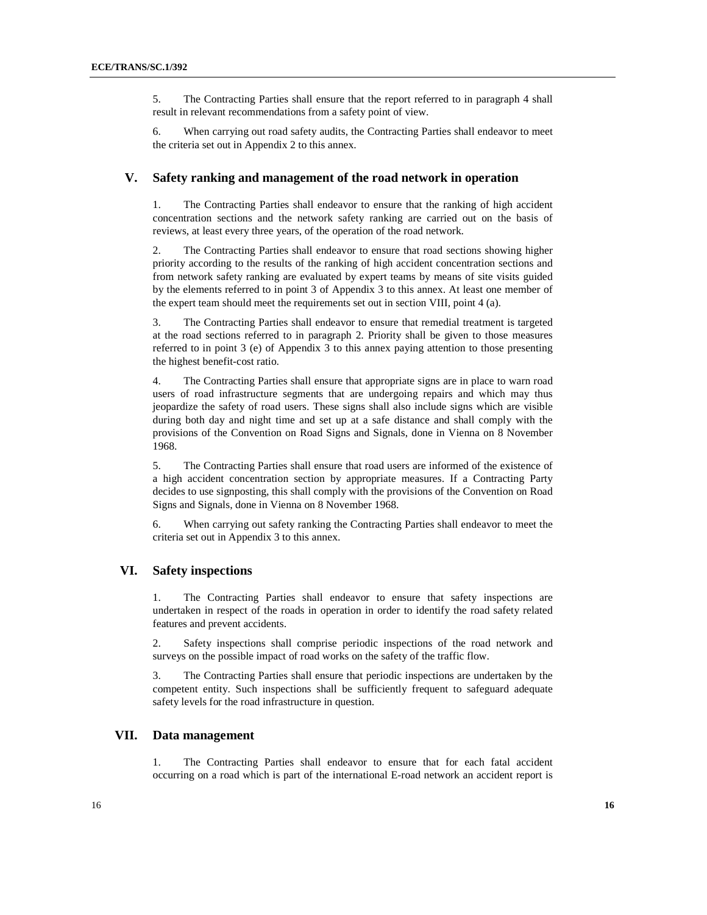5. The Contracting Parties shall ensure that the report referred to in paragraph 4 shall result in relevant recommendations from a safety point of view.

6. When carrying out road safety audits, the Contracting Parties shall endeavor to meet the criteria set out in Appendix 2 to this annex.

#### **V. Safety ranking and management of the road network in operation**

1. The Contracting Parties shall endeavor to ensure that the ranking of high accident concentration sections and the network safety ranking are carried out on the basis of reviews, at least every three years, of the operation of the road network.

2. The Contracting Parties shall endeavor to ensure that road sections showing higher priority according to the results of the ranking of high accident concentration sections and from network safety ranking are evaluated by expert teams by means of site visits guided by the elements referred to in point 3 of Appendix 3 to this annex. At least one member of the expert team should meet the requirements set out in section VIII, point 4 (a).

3. The Contracting Parties shall endeavor to ensure that remedial treatment is targeted at the road sections referred to in paragraph 2. Priority shall be given to those measures referred to in point 3 (e) of Appendix 3 to this annex paying attention to those presenting the highest benefit-cost ratio.

4. The Contracting Parties shall ensure that appropriate signs are in place to warn road users of road infrastructure segments that are undergoing repairs and which may thus jeopardize the safety of road users. These signs shall also include signs which are visible during both day and night time and set up at a safe distance and shall comply with the provisions of the Convention on Road Signs and Signals, done in Vienna on 8 November 1968.

5. The Contracting Parties shall ensure that road users are informed of the existence of a high accident concentration section by appropriate measures. If a Contracting Party decides to use signposting, this shall comply with the provisions of the Convention on Road Signs and Signals, done in Vienna on 8 November 1968.

6. When carrying out safety ranking the Contracting Parties shall endeavor to meet the criteria set out in Appendix 3 to this annex.

#### **VI. Safety inspections**

1. The Contracting Parties shall endeavor to ensure that safety inspections are undertaken in respect of the roads in operation in order to identify the road safety related features and prevent accidents.

2. Safety inspections shall comprise periodic inspections of the road network and surveys on the possible impact of road works on the safety of the traffic flow.

3. The Contracting Parties shall ensure that periodic inspections are undertaken by the competent entity. Such inspections shall be sufficiently frequent to safeguard adequate safety levels for the road infrastructure in question.

#### **VII. Data management**

1. The Contracting Parties shall endeavor to ensure that for each fatal accident occurring on a road which is part of the international E-road network an accident report is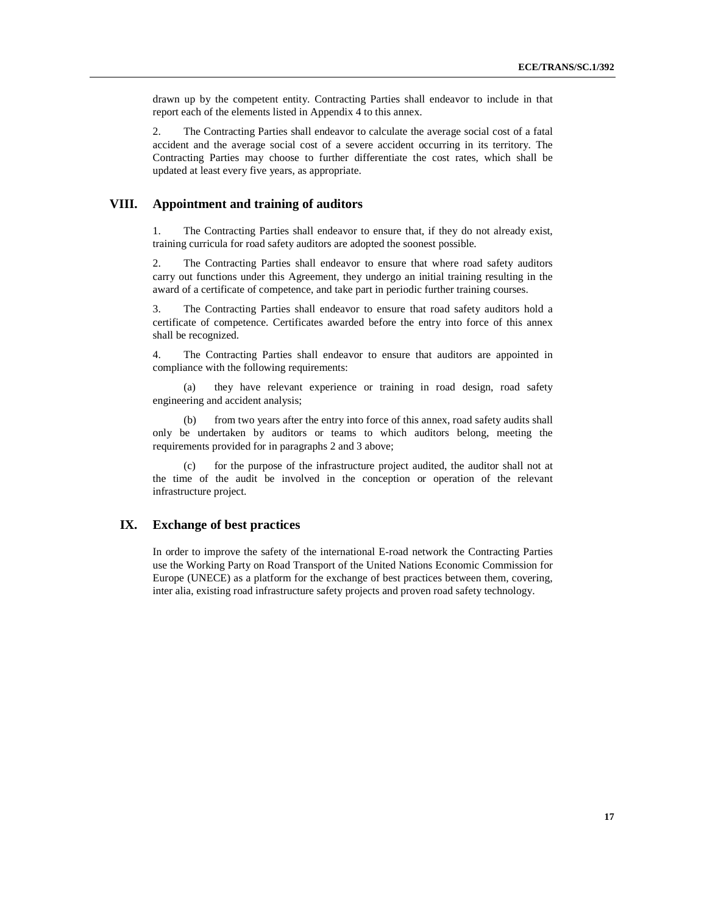drawn up by the competent entity. Contracting Parties shall endeavor to include in that report each of the elements listed in Appendix 4 to this annex.

2. The Contracting Parties shall endeavor to calculate the average social cost of a fatal accident and the average social cost of a severe accident occurring in its territory. The Contracting Parties may choose to further differentiate the cost rates, which shall be updated at least every five years, as appropriate.

### **VIII. Appointment and training of auditors**

1. The Contracting Parties shall endeavor to ensure that, if they do not already exist, training curricula for road safety auditors are adopted the soonest possible.

2. The Contracting Parties shall endeavor to ensure that where road safety auditors carry out functions under this Agreement, they undergo an initial training resulting in the award of a certificate of competence, and take part in periodic further training courses.

3. The Contracting Parties shall endeavor to ensure that road safety auditors hold a certificate of competence. Certificates awarded before the entry into force of this annex shall be recognized.

4. The Contracting Parties shall endeavor to ensure that auditors are appointed in compliance with the following requirements:

they have relevant experience or training in road design, road safety engineering and accident analysis;

(b) from two years after the entry into force of this annex, road safety audits shall only be undertaken by auditors or teams to which auditors belong, meeting the requirements provided for in paragraphs 2 and 3 above;

(c) for the purpose of the infrastructure project audited, the auditor shall not at the time of the audit be involved in the conception or operation of the relevant infrastructure project.

#### **IX. Exchange of best practices**

In order to improve the safety of the international E-road network the Contracting Parties use the Working Party on Road Transport of the United Nations Economic Commission for Europe (UNECE) as a platform for the exchange of best practices between them, covering, inter alia, existing road infrastructure safety projects and proven road safety technology.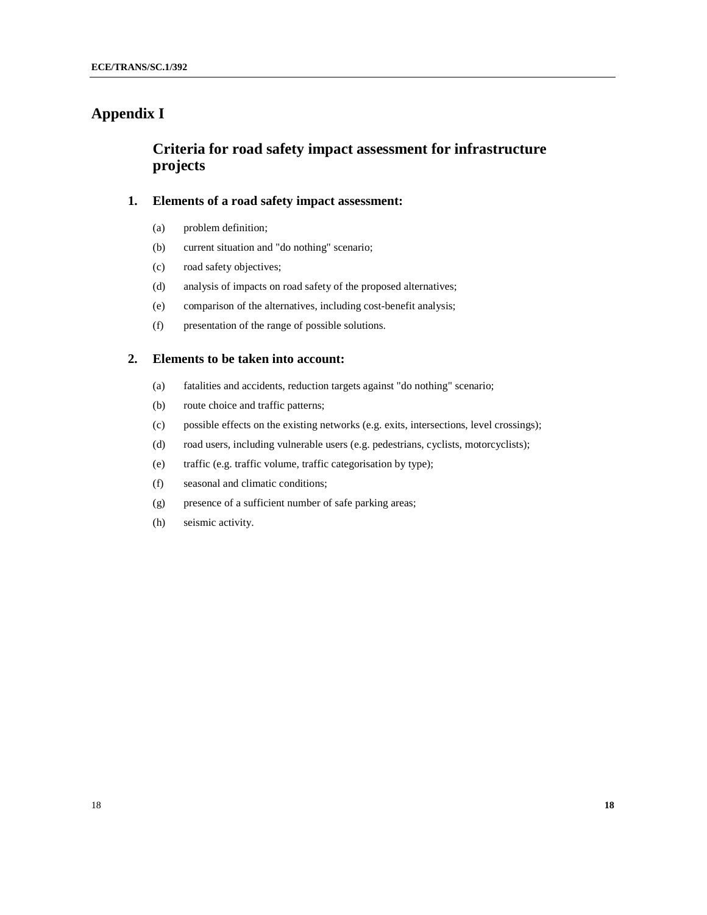# **Appendix I**

# **Criteria for road safety impact assessment for infrastructure projects**

### **1. Elements of a road safety impact assessment:**

- (a) problem definition;
- (b) current situation and "do nothing" scenario;
- (c) road safety objectives;
- (d) analysis of impacts on road safety of the proposed alternatives;
- (e) comparison of the alternatives, including cost-benefit analysis;
- (f) presentation of the range of possible solutions.

### **2. Elements to be taken into account:**

- (a) fatalities and accidents, reduction targets against "do nothing" scenario;
- (b) route choice and traffic patterns;
- (c) possible effects on the existing networks (e.g. exits, intersections, level crossings);
- (d) road users, including vulnerable users (e.g. pedestrians, cyclists, motorcyclists);
- (e) traffic (e.g. traffic volume, traffic categorisation by type);
- (f) seasonal and climatic conditions;
- (g) presence of a sufficient number of safe parking areas;
- (h) seismic activity.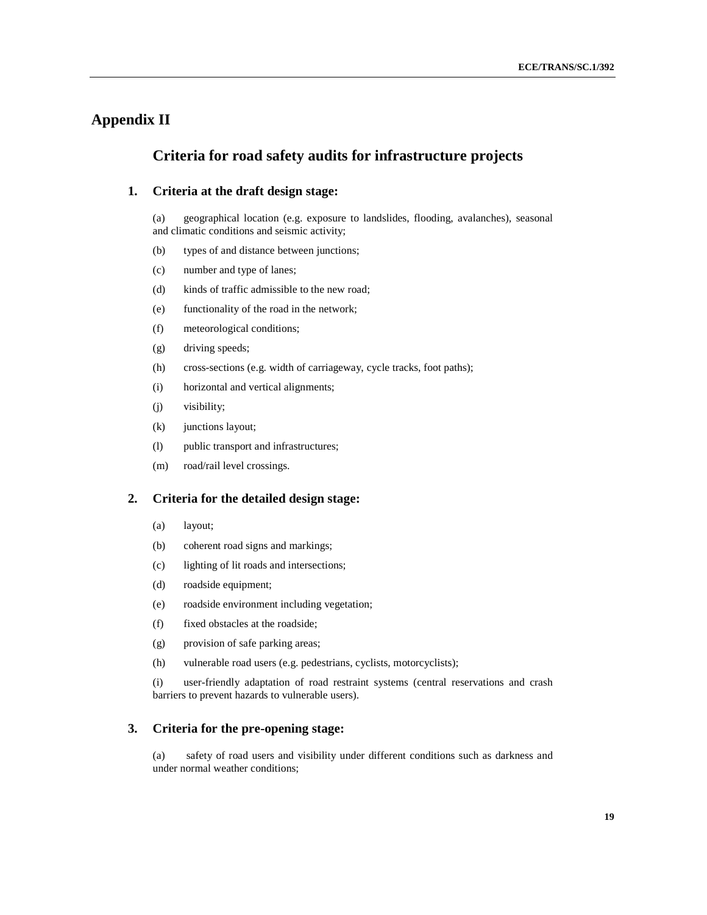# **Appendix II**

### **Criteria for road safety audits for infrastructure projects**

### **1. Criteria at the draft design stage:**

(a) geographical location (e.g. exposure to landslides, flooding, avalanches), seasonal and climatic conditions and seismic activity;

- (b) types of and distance between junctions;
- (c) number and type of lanes;
- (d) kinds of traffic admissible to the new road;
- (e) functionality of the road in the network;
- (f) meteorological conditions;
- (g) driving speeds;
- (h) cross-sections (e.g. width of carriageway, cycle tracks, foot paths);
- (i) horizontal and vertical alignments;
- (j) visibility;
- (k) junctions layout;
- (l) public transport and infrastructures;
- (m) road/rail level crossings.

### **2. Criteria for the detailed design stage:**

- (a) layout;
- (b) coherent road signs and markings;
- (c) lighting of lit roads and intersections;
- (d) roadside equipment;
- (e) roadside environment including vegetation;
- (f) fixed obstacles at the roadside;
- (g) provision of safe parking areas;
- (h) vulnerable road users (e.g. pedestrians, cyclists, motorcyclists);

(i) user-friendly adaptation of road restraint systems (central reservations and crash barriers to prevent hazards to vulnerable users).

#### **3. Criteria for the pre-opening stage:**

(a) safety of road users and visibility under different conditions such as darkness and under normal weather conditions;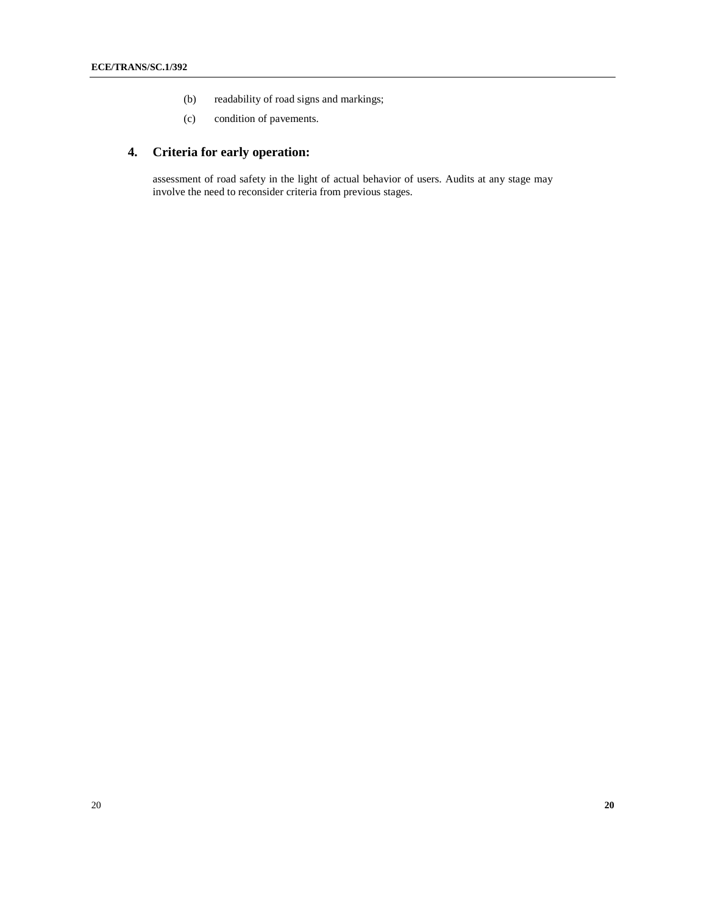- (b) readability of road signs and markings;
- (c) condition of pavements.

# **4. Criteria for early operation:**

assessment of road safety in the light of actual behavior of users. Audits at any stage may involve the need to reconsider criteria from previous stages.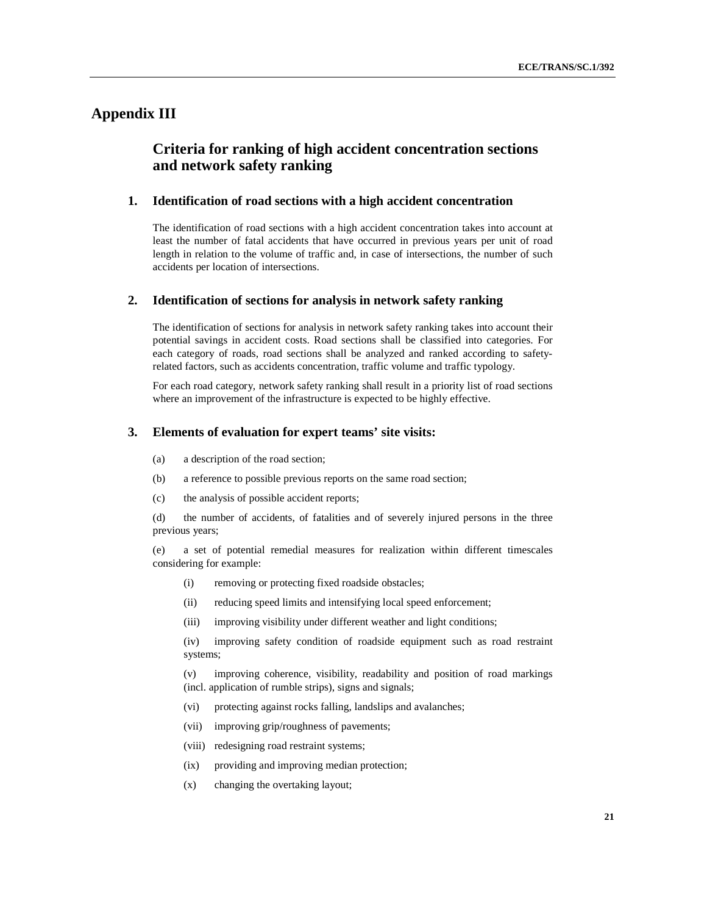# **Appendix III**

# **Criteria for ranking of high accident concentration sections and network safety ranking**

#### **1. Identification of road sections with a high accident concentration**

The identification of road sections with a high accident concentration takes into account at least the number of fatal accidents that have occurred in previous years per unit of road length in relation to the volume of traffic and, in case of intersections, the number of such accidents per location of intersections.

#### **2. Identification of sections for analysis in network safety ranking**

The identification of sections for analysis in network safety ranking takes into account their potential savings in accident costs. Road sections shall be classified into categories. For each category of roads, road sections shall be analyzed and ranked according to safetyrelated factors, such as accidents concentration, traffic volume and traffic typology.

For each road category, network safety ranking shall result in a priority list of road sections where an improvement of the infrastructure is expected to be highly effective.

#### **3. Elements of evaluation for expert teams' site visits:**

- (a) a description of the road section;
- (b) a reference to possible previous reports on the same road section;
- (c) the analysis of possible accident reports;

(d) the number of accidents, of fatalities and of severely injured persons in the three previous years;

(e) a set of potential remedial measures for realization within different timescales considering for example:

- (i) removing or protecting fixed roadside obstacles;
- (ii) reducing speed limits and intensifying local speed enforcement;
- (iii) improving visibility under different weather and light conditions;

(iv) improving safety condition of roadside equipment such as road restraint systems;

(v) improving coherence, visibility, readability and position of road markings (incl. application of rumble strips), signs and signals;

- (vi) protecting against rocks falling, landslips and avalanches;
- (vii) improving grip/roughness of pavements;
- (viii) redesigning road restraint systems;
- (ix) providing and improving median protection;
- (x) changing the overtaking layout;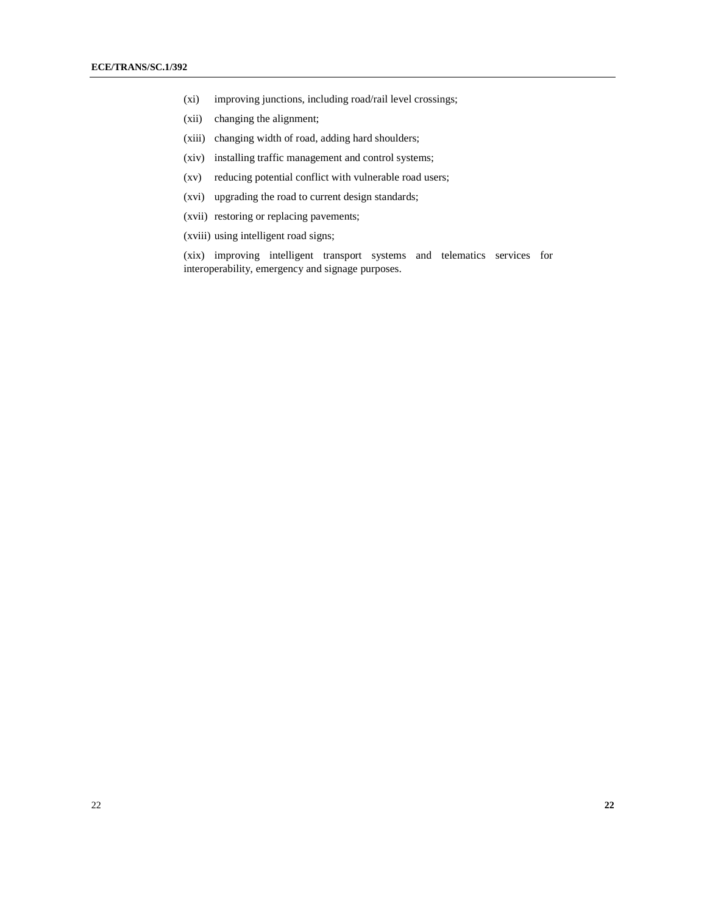- (xi) improving junctions, including road/rail level crossings;
- (xii) changing the alignment;
- (xiii) changing width of road, adding hard shoulders;
- (xiv) installing traffic management and control systems;
- (xv) reducing potential conflict with vulnerable road users;
- (xvi) upgrading the road to current design standards;
- (xvii) restoring or replacing pavements;
- (xviii) using intelligent road signs;

(xix) improving intelligent transport systems and telematics services for interoperability, emergency and signage purposes.